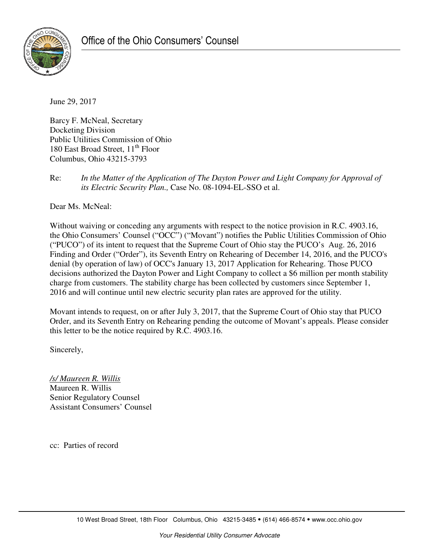

June 29, 2017

Barcy F. McNeal, Secretary Docketing Division Public Utilities Commission of Ohio 180 East Broad Street,  $11<sup>th</sup>$  Floor Columbus, Ohio 43215-3793

Re: *In the Matter of the Application of The Dayton Power and Light Company for Approval of its Electric Security Plan.,* Case No. 08-1094-EL-SSO et al.

Dear Ms. McNeal:

Without waiving or conceding any arguments with respect to the notice provision in R.C. 4903.16, the Ohio Consumers' Counsel ("OCC") ("Movant") notifies the Public Utilities Commission of Ohio ("PUCO") of its intent to request that the Supreme Court of Ohio stay the PUCO's Aug. 26, 2016 Finding and Order ("Order"), its Seventh Entry on Rehearing of December 14, 2016, and the PUCO's denial (by operation of law) of OCC's January 13, 2017 Application for Rehearing. Those PUCO decisions authorized the Dayton Power and Light Company to collect a \$6 million per month stability charge from customers. The stability charge has been collected by customers since September 1, 2016 and will continue until new electric security plan rates are approved for the utility.

Movant intends to request, on or after July 3, 2017, that the Supreme Court of Ohio stay that PUCO Order, and its Seventh Entry on Rehearing pending the outcome of Movant's appeals. Please consider this letter to be the notice required by R.C. 4903.16.

Sincerely,

*/s/ Maureen R. Willis*  Maureen R. Willis Senior Regulatory Counsel Assistant Consumers' Counsel

cc: Parties of record